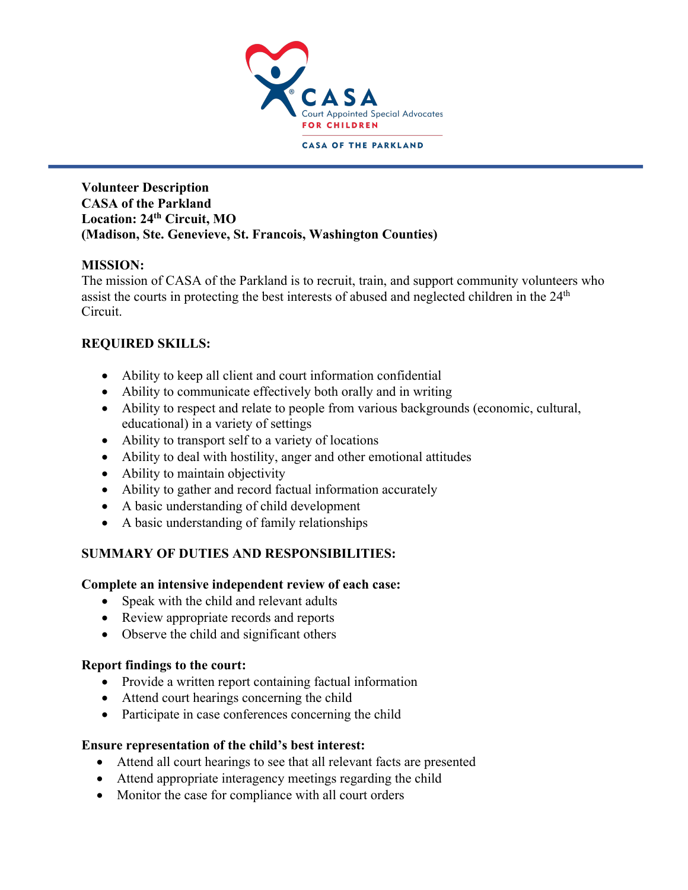

**CASA OF THE PARKLAND** 

#### **Volunteer Description CASA of the Parkland Location: 24th Circuit, MO (Madison, Ste. Genevieve, St. Francois, Washington Counties)**

# **MISSION:**

The mission of CASA of the Parkland is to recruit, train, and support community volunteers who assist the courts in protecting the best interests of abused and neglected children in the 24<sup>th</sup> Circuit.

# **REQUIRED SKILLS:**

- Ability to keep all client and court information confidential
- Ability to communicate effectively both orally and in writing
- Ability to respect and relate to people from various backgrounds (economic, cultural, educational) in a variety of settings
- Ability to transport self to a variety of locations
- Ability to deal with hostility, anger and other emotional attitudes
- Ability to maintain objectivity
- Ability to gather and record factual information accurately
- A basic understanding of child development
- A basic understanding of family relationships

# **SUMMARY OF DUTIES AND RESPONSIBILITIES:**

# **Complete an intensive independent review of each case:**

- Speak with the child and relevant adults
- Review appropriate records and reports
- Observe the child and significant others

# **Report findings to the court:**

- Provide a written report containing factual information
- Attend court hearings concerning the child
- Participate in case conferences concerning the child

# **Ensure representation of the child's best interest:**

- Attend all court hearings to see that all relevant facts are presented
- Attend appropriate interagency meetings regarding the child
- Monitor the case for compliance with all court orders